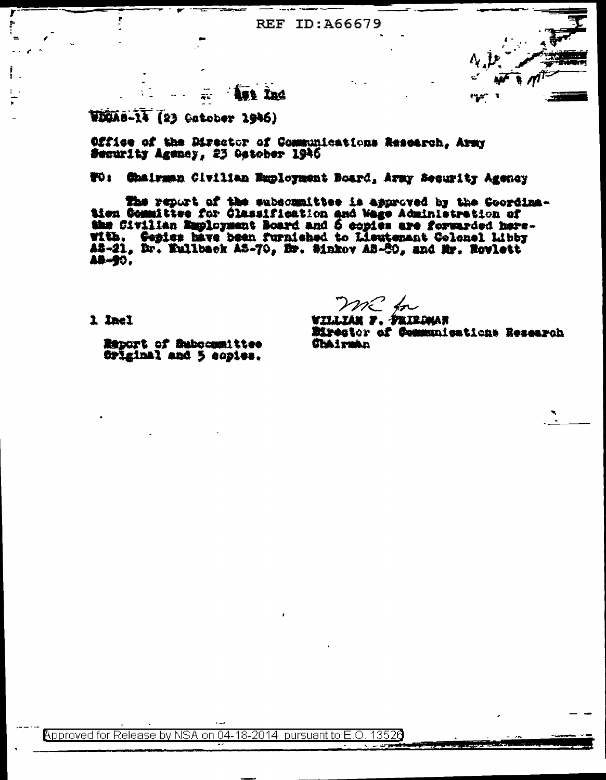# **Ast Ind**

WDUAS-14 (23 Catober 1946)

Office of the Director of Communications Research. Army Security Ageney, 23 Ostober 1946

# TO: Chairman Civilian Employment Board, Army Security Agency

The report of the subcommittee is approved by the Goordina-tion Committee for Glassification and Wage Administration of the Civilian Employment Board and 6 copies are forwarded here-<br>With, Gopies have been furnished to Lie A2-21, Dr. Euliback A2-70, Dr. Sinkov A3-80, and Mr. Novlett **AB-90.** 

1 Inel

mc fr

<u>willtan y. Skirdman</u> Eirester of Communications Research **Chairman** 

Report of Subcommittee Original and 5 copies.

Approved for Release by NSA on 04-18-2014 bursuant to E 13526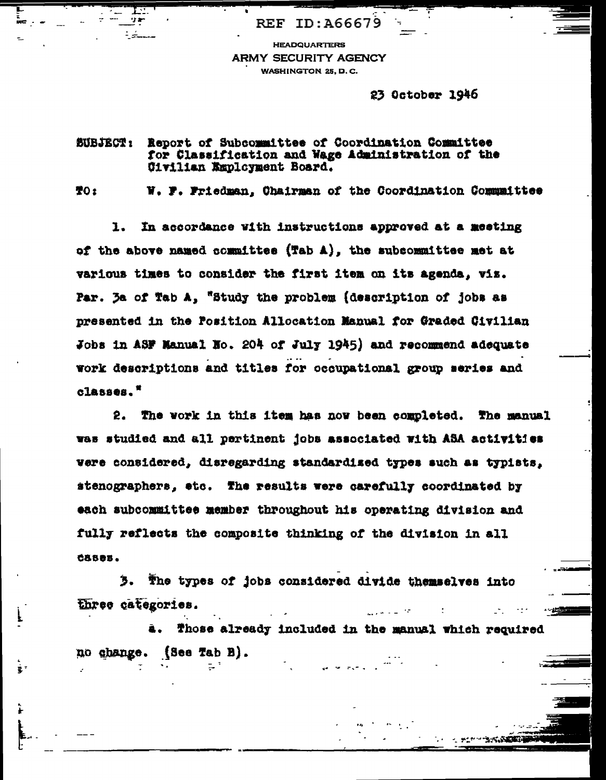**HEADQUARTERS ARMY SECURITY AGENCY WASHINGTON 25, D.C.** 

REF ID: A66679

23 October 1946

#### Report of Subcommittee of Coordination Committee **BUBJECT:** for Classification and Wage Administration of the Civilian Employment Board.

**TO:** 

W. F. Friedman. Chairman of the Coordination Communities

In accordance with instructions approved at a meeting 1. of the above named committee (Tab A), the subcommittee met at various times to consider the first item on its agenda, viz. Par. 3a of Tab A, "Study the problem (description of jobs as presented in the Position Allocation Manual for Graded Givilian Jobs in ASF Manual No. 204 of July 1945) and recommend adequate work descriptions and titles for occupational group series and  $c$ lasses."

2. The work in this item has now been completed. The manual was studied and all pertinent jobs associated with ASA activities were considered, disregarding standardized types such as typists, stenographers, etc. The results were carefully coordinated by each subcommittee member throughout his operating division and fully reflects the composite thinking of the division in all CASOE.

з. The types of jobs considered divide themselves into three categories.

Those already included in the manual which required no change. (See Tab B).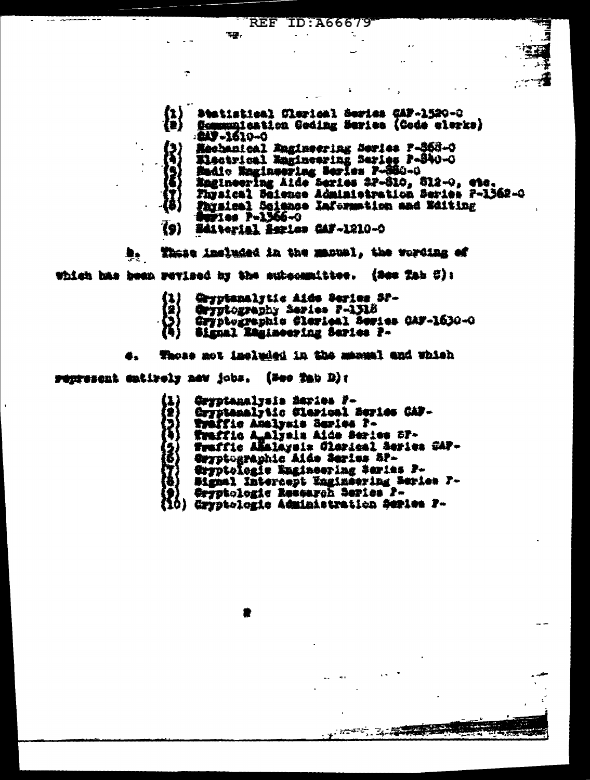| $\left\{ \begin{matrix} 1 \\ 0 \end{matrix} \right\}$ | Besistical Clarical Series CAF-1520-0                                           |
|-------------------------------------------------------|---------------------------------------------------------------------------------|
|                                                       | Semmunication Goding Series (Gode elerka)<br>-249-1610-0                        |
|                                                       | Hechanical Engineering Series P-\$68-0<br>Electrical Emmineering Saries P-340-0 |
|                                                       | Radio Ragineeriag Series F-880-0<br>Engineering Aide Series 27-810, 812-0, etc. |
|                                                       | Fhysical Seismes Administration Series P-1362-Q                                 |
|                                                       | Faysical Science Information and Weiting<br><b>Septies P-1366-0</b>             |
| $\overline{\bullet}$                                  | Editorial Asries CAF-1210-0                                                     |

t

÷

These included in the manual, the wording of  $\bullet$ which has been revised by the subscapittee. (See Tab C):

45.

÷

- $\binom{1}{2}$ Gryptanalytic Aids Series SP-
- Cryptography Series P-1318
- Gryptographic Clerical Series CAF-1630-0
- Signal Ragineering Series P-

Those mot included in the manual and which

regresent entirely new jobs. (Nee Tab D):

Gryptanalysia Saries F-Cryptemelytic Slericel Beries CAP-Tyeffic Analysia Beries P-Traffic A alyais Aide Series SP-<br>Traffic Akalaysia Clerical Series GAP-Gwyptographic Aide Series SP-Orpptologie Engineering Saries P-Bigmal Intercept Enginsering Series P-Oryptologic Research Series P-Gryptologie Administration Series F-[10]

 $\mathcal{L} \subset \mathbb{R}^{2 \times 2}$  ,  $\mathcal{L} \subset \mathbb{R}^{2 \times 2}$ 

77.E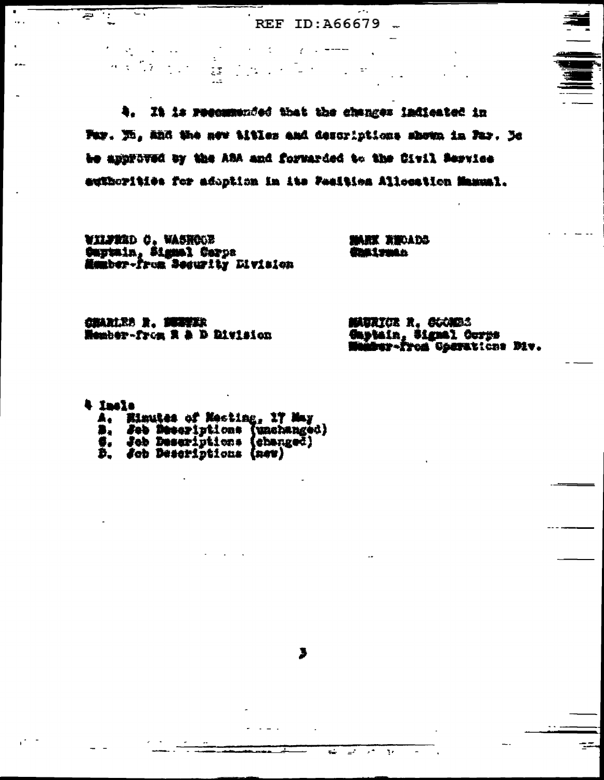$\mathcal{L}^{\text{max}}$  and

 $\sim 10$ 

4. It is recommended that the changes indicated in Pay. No. and the new titles and descriptions shown in Pay. De be approved by the ABA and forwarded to the Citil Service euthorities for adoption in its Pealtica Allocation Manual.

3

しょうそう

 $\sim 10^{-1}$ 

 $\mathbb{R}^+$ 

WILFRED C. WASHOON Captain, Signal Corps<br>Mamber-From Security Division

**CCACK THANK** amustadi

 $\mathbf{r}$  .

CHARLES R. MAYER Member-from R & D Division

MAURICE R. CUMBS Gaptain, Signal Corps<br>Munder-from Operations Div.

4 Incla

Ŧ تتیر

 $\mathcal{L}_{\text{max}}$ 

A. Einutes of Mecting, 17 May<br>B. See Mescriptions (unchanged)<br>S. See Descriptions (changed)<br>D. Sch Descriptions (new)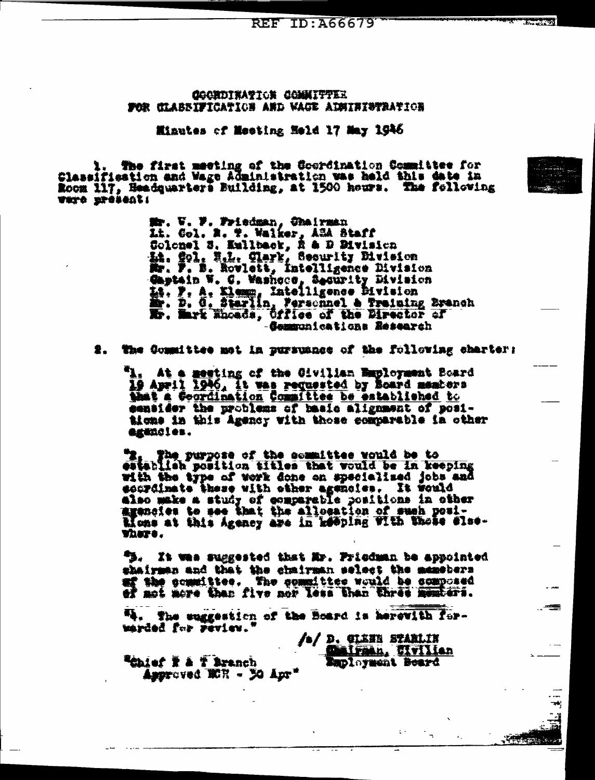COORDINATION COMMITTER SOR CLABBIFICATION AND WACK ADMINISHATION

Miautes of Meeting Meld 17 May 1946

1. The first meeting of the Coordination Committee for<br>Classification and Wage Administration was held this date in<br>Room 117, Headquarters Building, at 1500 hours. The following **TATO STOLENE!** 

> Mr. V. F. Friedman, Chairman<br>Lt. Gol. R. T. Walker, ASA Staff<br>Colonel S. Eullback, R & D Division<br>Lt. Spl. H.L. Clark, Security Division<br>Mr. F. B. Rovlett, Intelligence Division Gaptain W. C. Washeco, Security Bivision<br>14. P. A. Klamp, Intelligence Bivision<br>20. D. G. Starlin, Personnel & Training Branch<br>20. Mark Encads, Office of the Birector of Gemmunications Research

2. The Committee met in pursuance of the following charter:

"I. At a meeting of the Givilian Employment Board 19 April 1946. It was requested by Board members that a Coordination Committee be established to eensider the problems of basic alignment of positions in this Agency with those comparable in other egencies.

"I, The purpose of the committee would be to to set purpose of the committee would be in keeping with the type of work done on specialized jobs and sourcinate these with other agencies. It would also make a study of comparable positions in other<br>agencies to see that the allocation of such posi-Mons at this Agency are in keeping with those slav-WASTO.

"B. It was suggested that Mr. Priedman be appointed shairman and that the chairman select the memebers uf the committee. The committee would be composed of mot more than five nor less than three members.

54. The suggestion of the Board is herewith forwarded for review."

/s/ D. GIENE STARLIN Eaployment Board

 $\sim$ 

 $\epsilon^{\pm}$ 

**Realer I a T Branch** Approved ECR - 30 Apr\*

κô,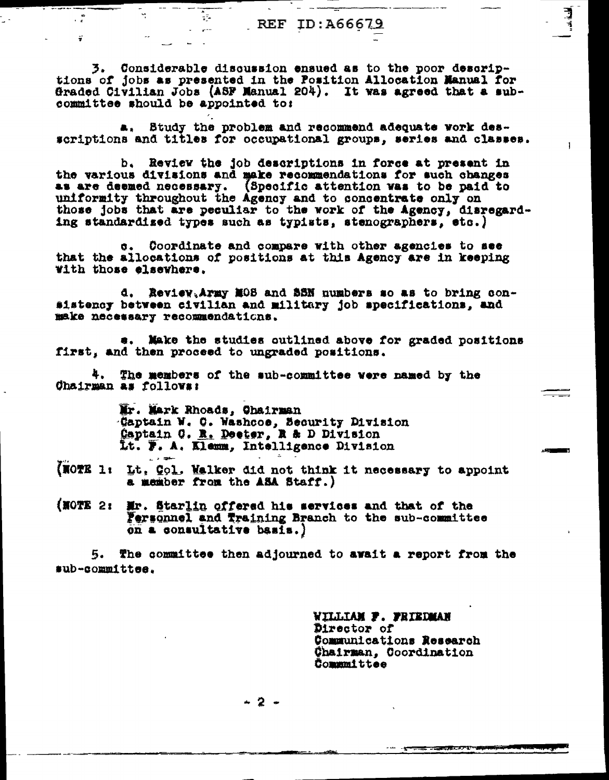3. Considerable discussion ensued as to the poor descriptions of jobs as presented in the Position Allocation Manual for Graded Civilian Jobs (ASF Manual 204). It was agreed that a subcommittee should be appointed to:

Ţ

 $\mathbf{r}$  and  $\mathbf{r}$ 

 $\tilde{\mathbf{r}}$ 

a, Study the problem and recommend adequate work desscriptions and titles for occupational groups, series and classes.

b. Review the job descriptions in force at present in the various divisions and make recommendations for such changes as are deemed necessary. (Specific attention was to be paid to uniformity throughout the Agency and to concentrate only on those jobs that are peculiar to the work of the Agency, disregarding standardized types such as typists, stenographers, etc.)

Coordinate and compare with other agencies to see that the allocations of positions at this Agency are in keeping with those elsewhere.

d. Review, Army MOS and SSN numbers so as to bring consistency between civilian and military job specifications, and make necessary recommendations.

Make the studies outlined above for graded positions first, and then proceed to ungraded positions.

4. The members of the sub-committee were named by the Chairman as follows:

> Mr. Mark Rhoads, Chairman Captain W. C. Washcoe, Security Division Captain O. R. Deeter, R & D Division Lt. F. A. Klemm, Intelligence Division

> > شقوط وأرز

- (NOTE 1: Lt. Col. Walker did not think it necessary to appoint a member from the ASA Staff.)
- (NOTE 2: Mr. Starlin offered his services and that of the Fersonnel and Training Branch to the sub-committee on a consultative basis.)

The committee then adjourned to await a report from the 5. sub-committee.

> WILLIAM F. FRIEDMAN Director of Communications Research Chairman. Coordination **Communitiee**

- 2 -

F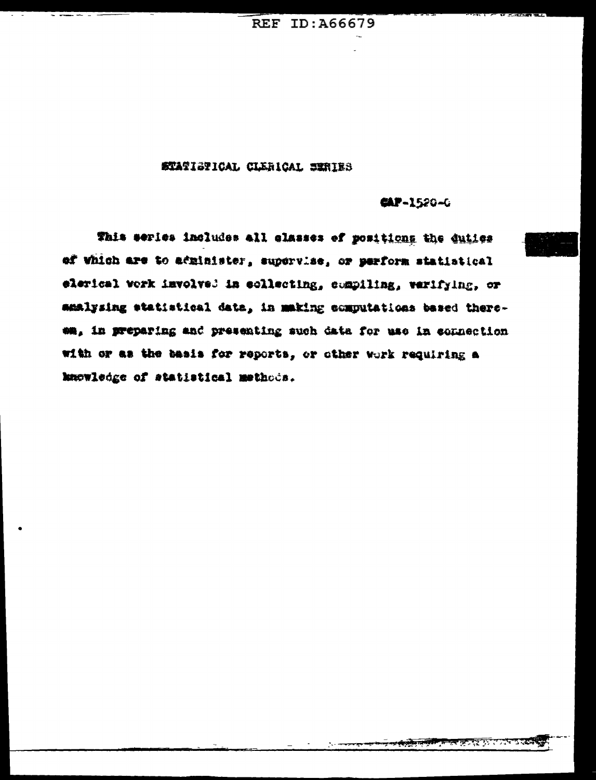#### STATISTICAL CLERICAL SERIES

#### **CAP-1520-G**

This series includes all classes of positions the duties of Which are to administer, supervise, or perform statistical elerical work involved in collecting, compiling, verifying, or amalysing statistical data, in making computations based thereem, in preparing and presenting such data for use in connection with or as the basis for reports, or other work requiring a knowledge of statistical methods.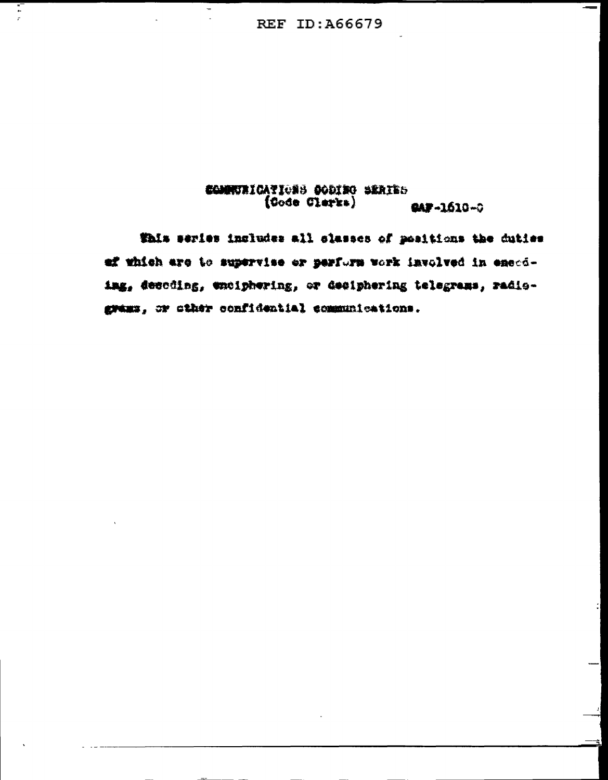÷.

 $\overline{\phantom{a}}$ 

 $\frac{1}{\epsilon}$ 

#### COMPURICATIONS CODING SERIES  $(0000 \text{ Given})$ **CAP-1610-0**

This series includes all classes of positions the duties ef which are to supervise or perform work involved in energing, descding, wholphoring, or deciphering telegrams, radiograms, or other confidential communications.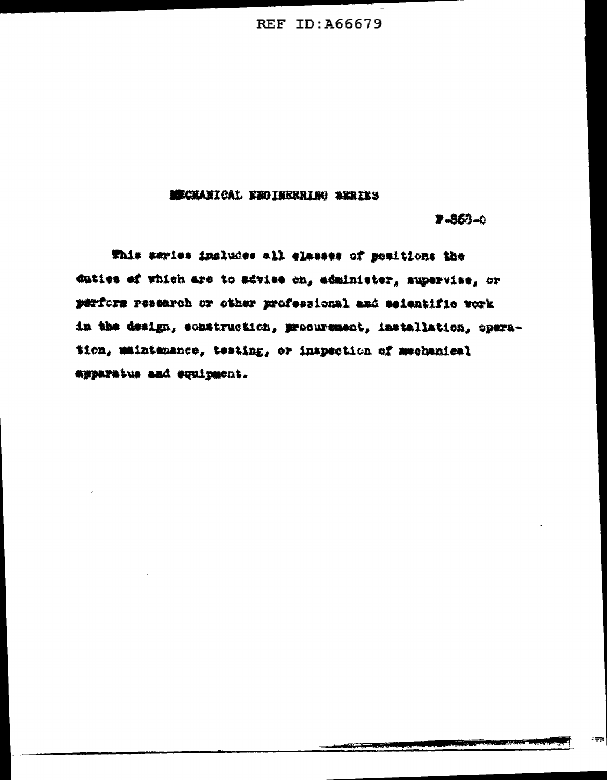#### **MECHANICAL FROIHERRING SERIES**

 $7 - 363 - 0$ 

This series includes all elasses of pesitions the duties of which are to advise on, administer, supervise, or perform research or other professional and seientific work in the design, construction, procurement, installation, operation, maintenance, testing, or inspection of mechanical apparatus and equipment.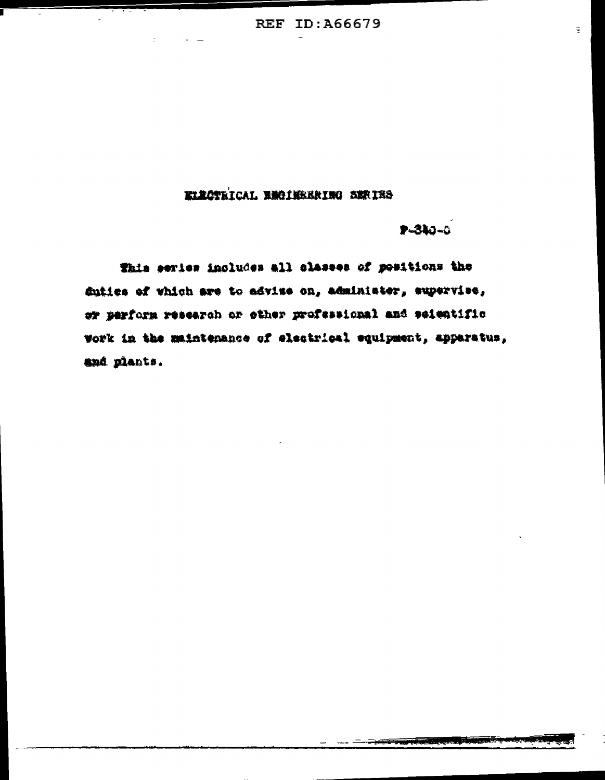# KLACTRICAL ENGINEERING SERIES

 $-310 - 0$ 

This series includes all classes of positions the duties of which are to advise on, administer, supervise, or perform research or other professional and seientific work in the maintenance of electrical equipment, apparatus, and plants.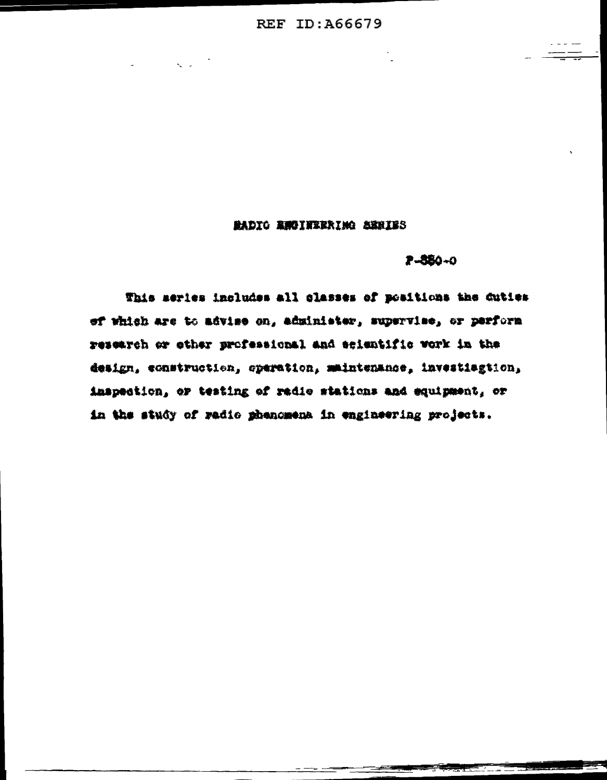#### MADIO RUOINEERINO SERIES

#### $P - 880 - 0$

This meries includes all classes of positions the duties of which are to advise on, administer, supervise, or perform research or other professional and scientific vork in the design, construction, operation, maintenance, investiagtion, inspection, or testing of radio stations and equipment, or in the study of radio phenomena in engineering projects.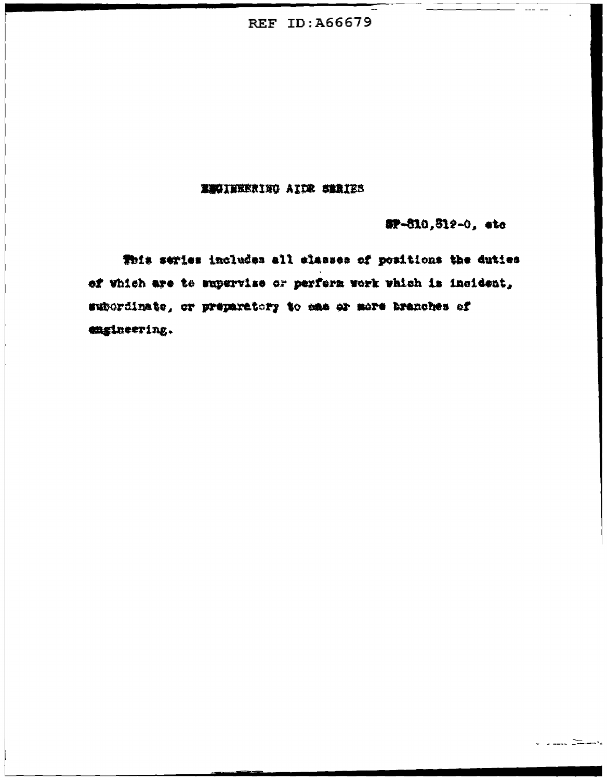#### **ENGINEERING AIDE SERIES**

#P-810,812-0, ato

This series includes all slasses of positions the duties of which are to supervise or perform work which is incident, subordinate, or preparatory to eas or more branches of engineering.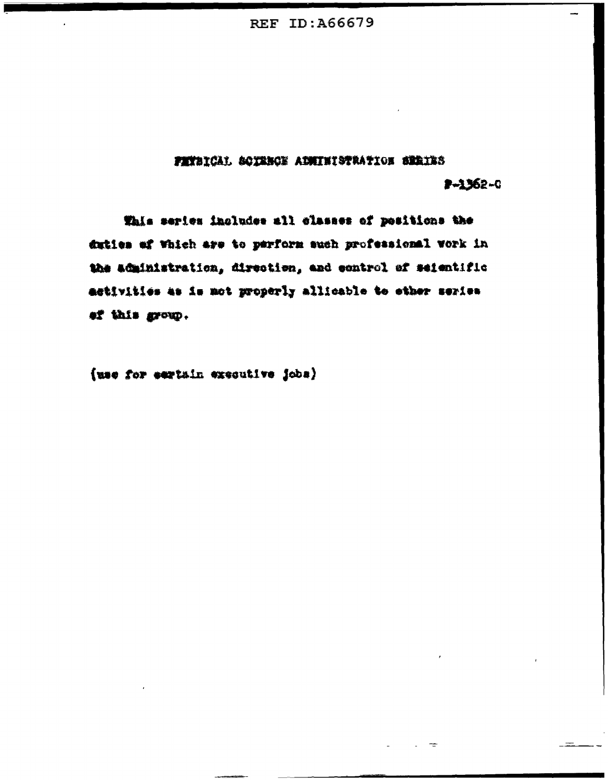# FETBICAL SOTEMOE AINITEISTRATION SERIES

# $2 - 1362 - 0$

This series includes all classes of positions the duties of Which are to perform such professional work in the administration, direction, and control of seientific activities as is not properly allicable to ether series ef this group.

(use for eartain executive jobs)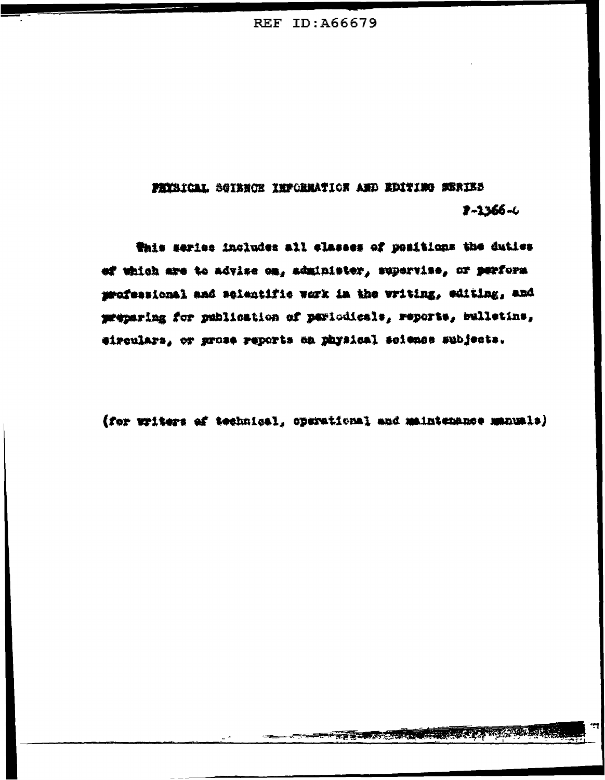PHYSICAL SGIBNON INFORMATION AND EDITING SERIES  $2 - 1366 - 4$ 

Whis series includes all classes of positions the duties ef which are to advise on, administer, supervise, or perform professional and selentific work in the writing, editing, and preparing for publication of pariodicals, reports, bulletins, eiroulars, or grose reports on physical science subjects.

(for writers of technical, operational and maintenance manuals)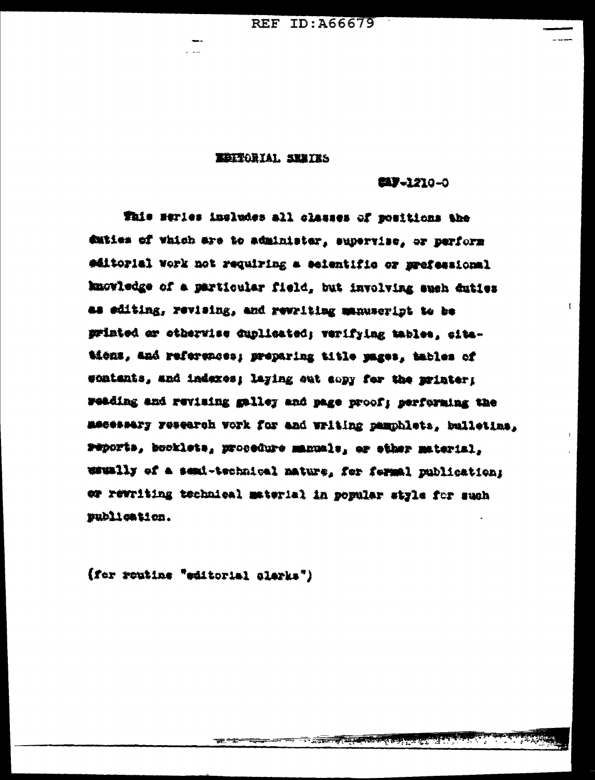REF ID: A66679

#### **EDITORIAL SEBIES**

(4) - 1210 - 0

 $\mathbf{r}$ 

This meries includes all classes of positions the duties of which are to administer, supervise, or perform #ditorial vork not requiring a seientific or prefessional knowledge of a particular field, but involving such duties as editing, revising, and rewriting manuscript to be printed or etherwise duplicated; verifying tables, citations, and references; preparing title pages, tables of wontents, and indexes; laying out copy for the printer; weading and revising galley and page proof; performing the mesessary research work for and writing pamphlets, bulletins, reports, booklets, procedure manuale, er ether material, waumlly of a semi-technical mature, for formal publication; or rewriting technical material in popular style for such publication.

(fer routine "editorial clerks")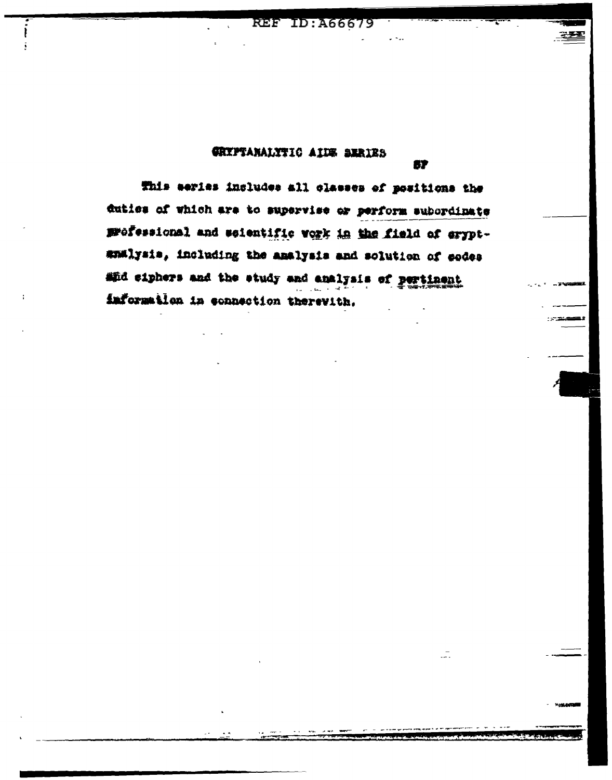#### GRYPTANALYTIC AIDE BERIES

67

ЦĪ.

This eeries includes all classes of positions the duties of which are to supervise or perform subordinate professional and scientific vork in the field of eryptsmalysis, including the analysis and solution of codes and eiphers and the study and analysis of pertinent information in connection therevith.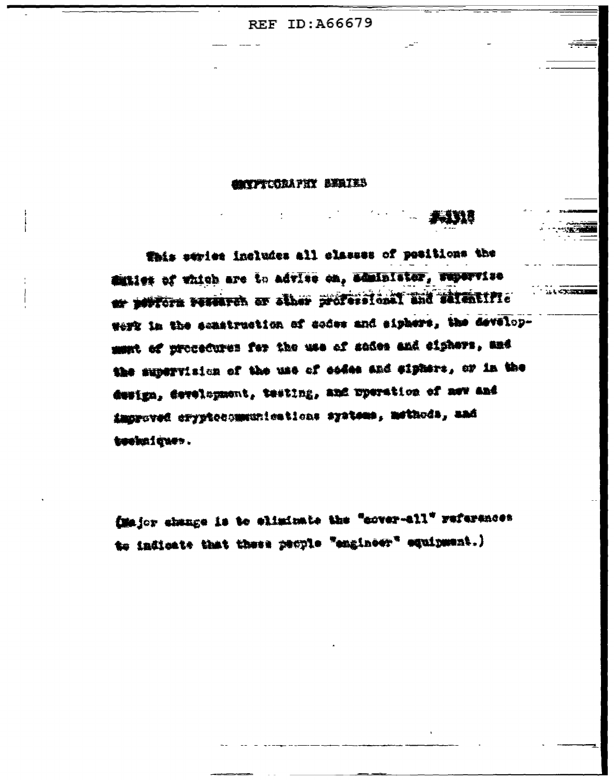#### **AYFTCORAPHY BEATES**

**ALL KEY DEEP** 

This evries includes all classes of positions the diffici of which are to advise on, administer, repervise er portorn versaven er alher professional und salentific were in the senstruction of codes and siphers, the developmunt of procedures for the use of sades and eighers, and the supervision of the use of codes and sighers, or in the design, development, testing, and uperation of new and improved cryptocommunications systems, methods, and techniques.

(Major change is to eliminate the "cover-all" references to indicate that these people "engineer" equipment.)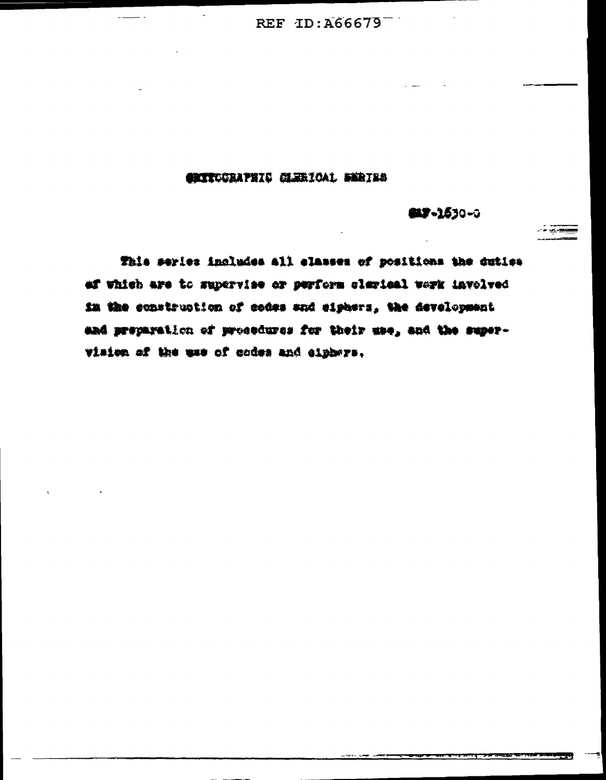# **CRITCORAPHIO CLERICAL SERIES**

**ELF-1530-0** 

This series includes all classes of positions the duties ef which are to supervise or perform clerical werk involved in the construction of codes and eighers, the development and preparation of prosedures for their use, and the supervision of the use of codes and clphwre.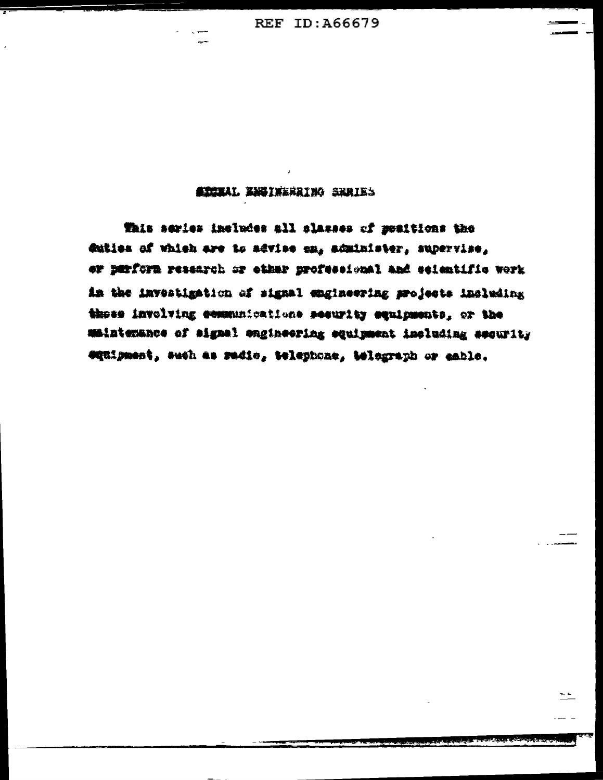#### **ATORAL BESINGGRING SHRIES**

This series includes all classes of preitions the duties of which are to advice on, administer, supervise, or perform research or ether professional and seientific work in the investigation of signal engineering projects including these involving communications security squipments, or the maintenance of aignal engineering equipment including security equipment, such as radio, telephone, telegraph or eable.

 $=$  $=$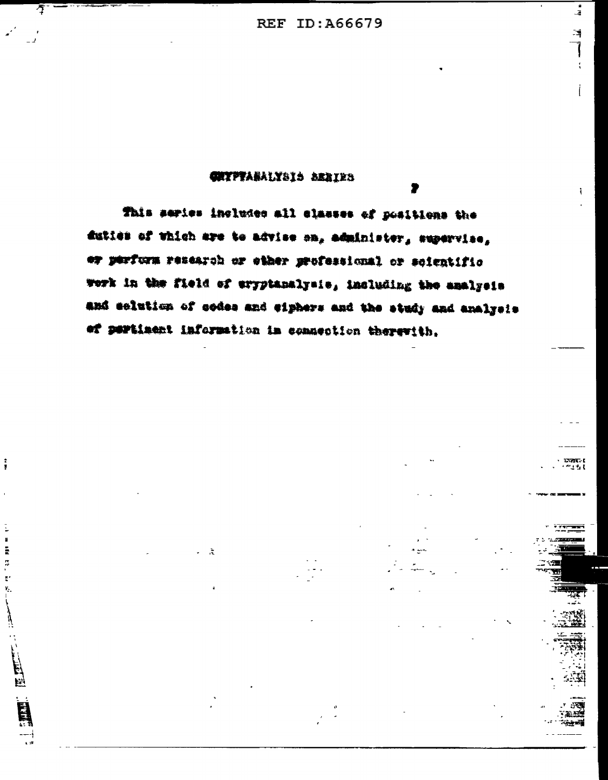$\frac{1}{4}$ 

博

Ť

 $\overline{1}$ 

**FEETPY** 

#### **CHYPTARALYSIS SERIES**

 $\bar{\gamma}$ 

 $\frac{2}{3}$ 

 $\overline{\phantom{a}}$ Ē ļ.  $\tilde{\epsilon}$ Y,

 $\begin{picture}(220,20) \put(0,0){\vector(0,1){10}} \put(15,0){\vector(0,1){10}} \put(15,0){\vector(0,1){10}} \put(15,0){\vector(0,1){10}} \put(15,0){\vector(0,1){10}} \put(15,0){\vector(0,1){10}} \put(15,0){\vector(0,1){10}} \put(15,0){\vector(0,1){10}} \put(15,0){\vector(0,1){10}} \put(15,0){\vector(0,1){10}} \put(15,0){\vector(0,1){10}} \put(15,0){\vector($ 

This series includes all classes of positions the duties of which are to advise on, administer, supervise, er perform research or ether professional or soientific work in the field of eryptanalysis, including the amalysis and selution of codes and eiphers and the study and analysis of pertiaent information in connection therewith.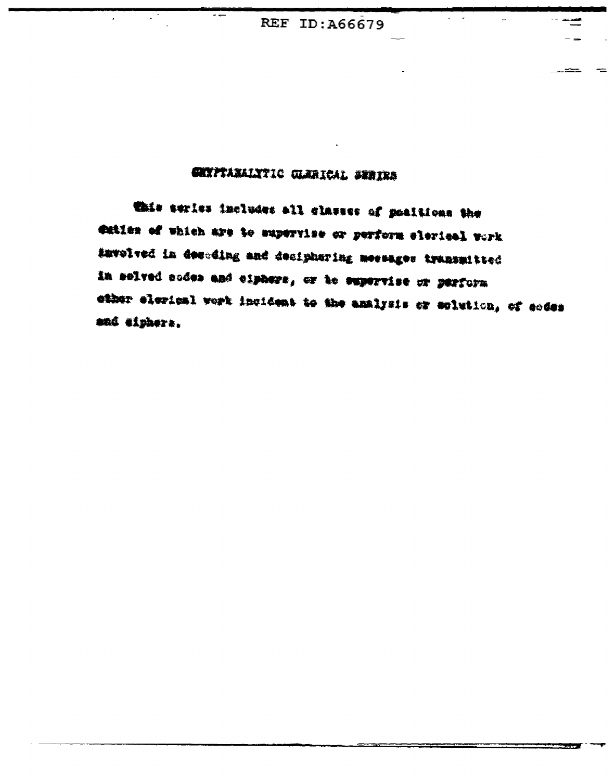ಯ ಮಾಡಿದ

# CHYPTANALYTIC GLARICAL SERIES

This series includes all classes of positions the duties of which are to supervise or perform elerical work #mvolved in desuding and desiphering messages transmitted in solved nodes and ciphers, or to supervise or perform other elerical werk incident to the analysis or solution, of codes and eiphers.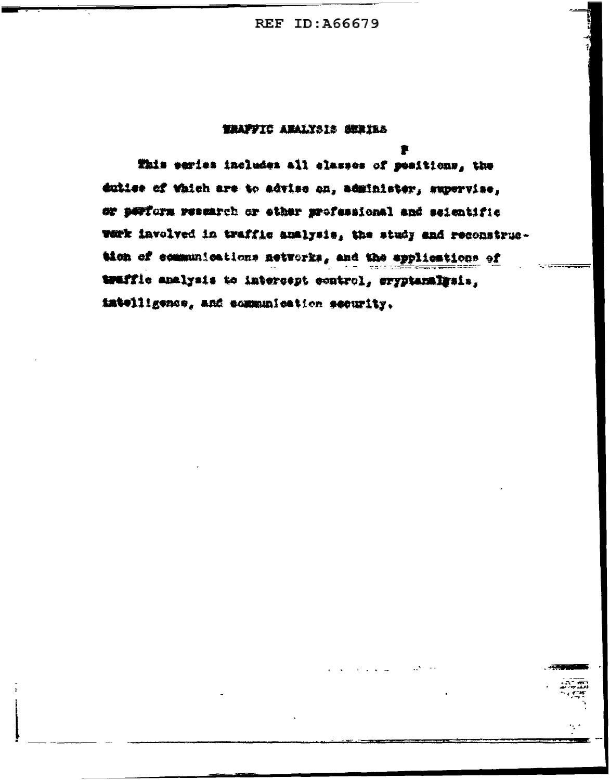#### TRAFFIC ANALYSIS SERIES

This series includes all classes of peaitions, the duties of which are to advise on, administer, supervise, or perform research or ether professional and seientific wark involved in traffic analysis, the study and reconstruction of communications networks, and the applications of traffic analysis to intercept control, eryptanalysis, intelligence, and communication security.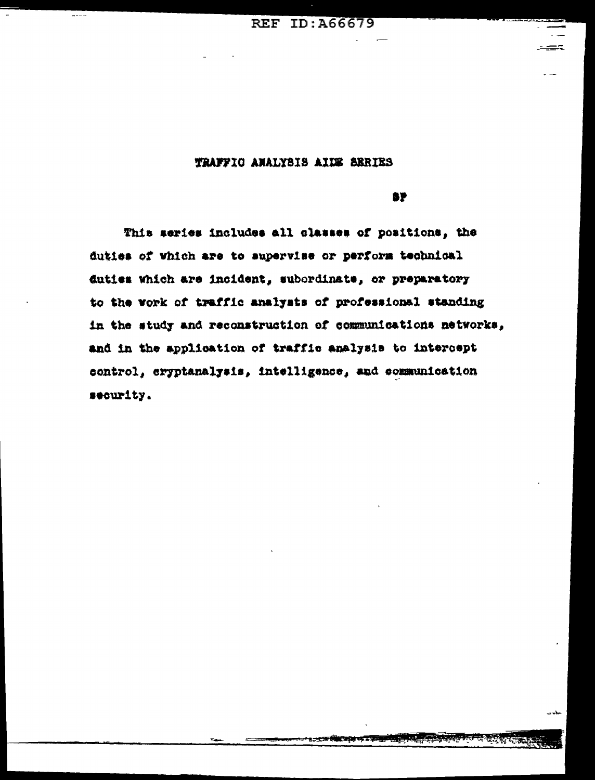**REF ID: A66679** 

#### TRAFFIO ANALYSIS AIDE SERIES

**BP** 

This series includes all classes of positions, the duties of which are to supervise or perform technical duties which are incident, subordinate, or preparatory to the vork of traffic analysts of professional standing in the study and reconstruction of communications networks, and in the application of traffic analysis to intercept control, cryptanalysis, intelligence, and communication security.

**Part**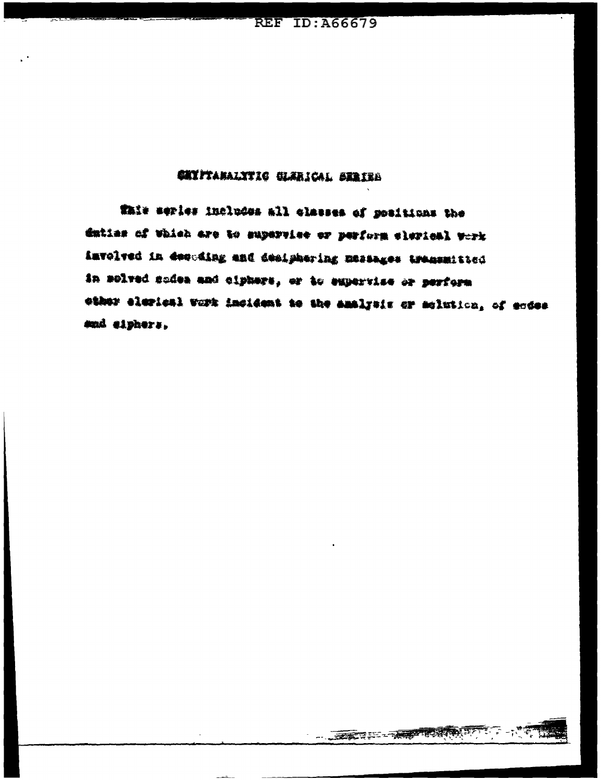# **CHIPTANALYTIC CLERICAL SERIES**

This series includes all classes of positions the duties of which are to supervise or perform slerical work involved in decuding and desiphering messages transmitted in solved sodes and ciphers, or to experite or perform ether elerical work incident to the amalysis or molutica, of endes mai eiphers,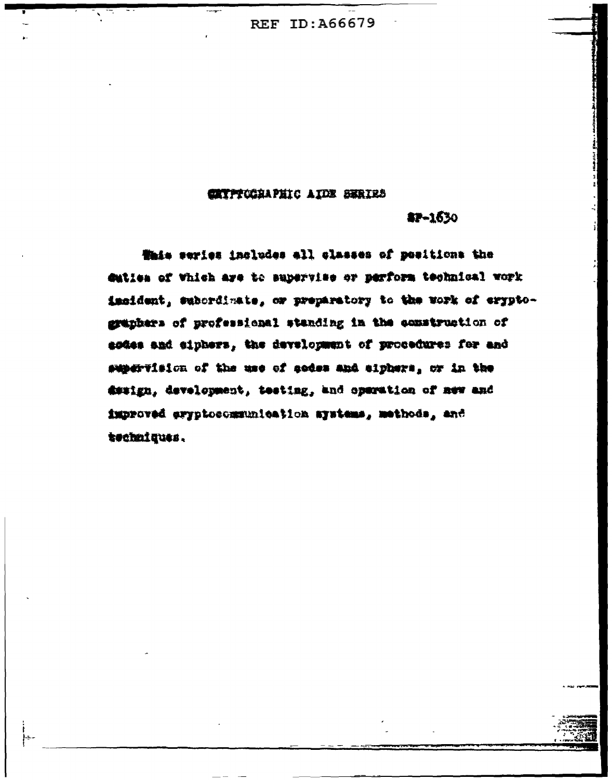#### **CATPTOGRAPHIC AIDE SERIES**

#### $$7 - 1630$

Whis series includes all classes of positions the duties of Which are to supervise or perform technical work insident, subordinate, or preparatory to the work of eryptographers of professional standing in the construction of esdes and eiphers, the development of procedures for and supervision of the use of codes and eiphers, or in the design, development, testing, and operation of new and improved eryptocommunication ayatems, methods, and techniques.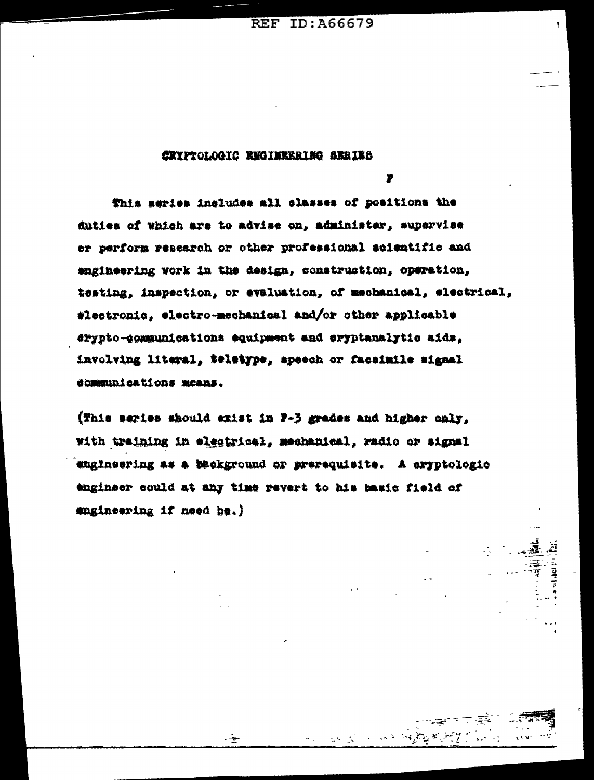### CRYPTOLOGIC ENGINEERING ARRIES

远长 一种细胞

This series includes all classes of positions the duties of which are to advise on, administer, supervise er perform research or other professional seientific and engineering vork in the design, construction, operation, testing, inspection, or evaluation, of mechanical, electrical, #lectronic, electro-mechanical and/or other applicable arypto-communications equipment and aryptanalytic aids, involving literal, teletype, speech or facsimile signal dommunications means.

(This series should exist in P-3 grades and higher only. with training in electrical, mechanical, radio or signal engineering as a background or prerequisite. A eryptologic tagineer could at any time revert to his basic field of maineering if need be.)

چ۔.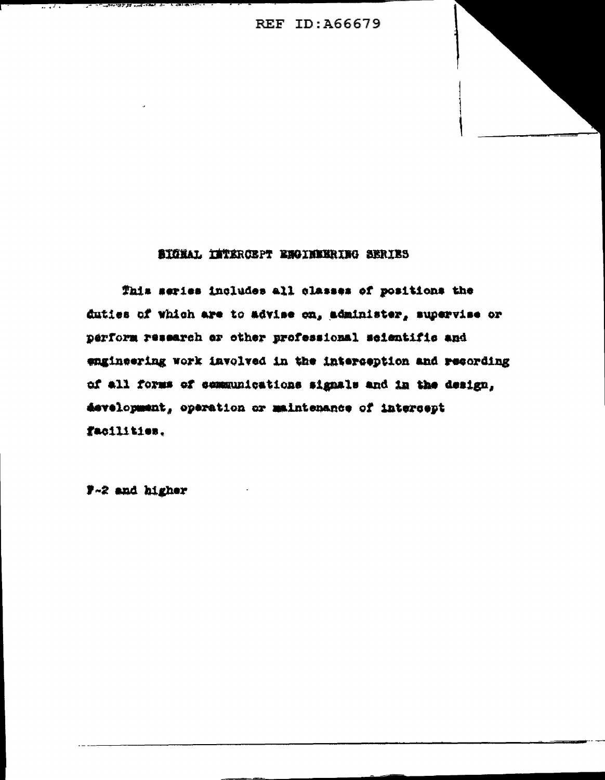#### SIGNAL INTERCEPT ENGINEERING SERIES

This series includes all classes of positions the duties of which are to advise on, administer, supervise or perform research or other professional seientific and engineering work involved in the interception and recording of all forms of communications signals and in the design, development, operation or maintenance of intercept facilities.

7-2 and higher

しょうき ロンゴ フィルード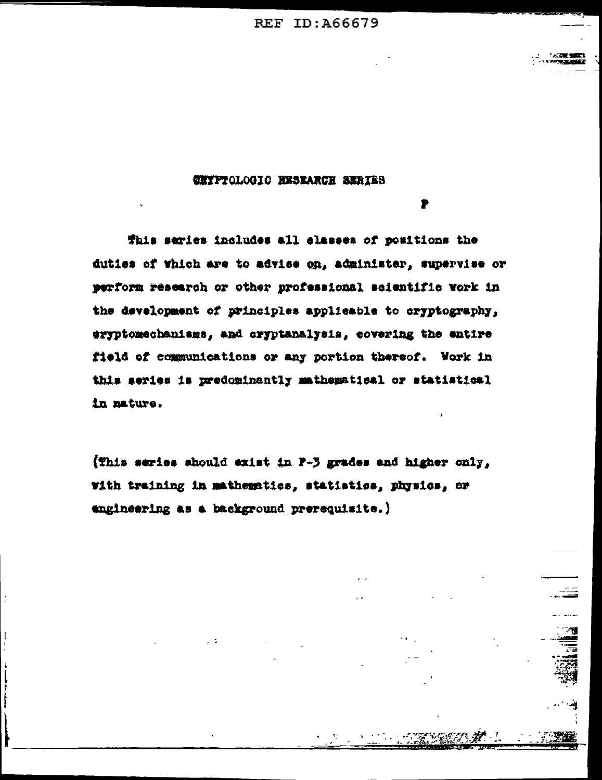#### **CHYPTOLOGIC RESEARCH SERIES**

This series includes all classes of positions the duties of which are to advise on, administer, supervise or perform research or other professional scientific work in the development of principles applicable to cryptography, eryptomechanisms, and cryptanalysis, covering the entire field of communications or any portion thereof. Work in this series is predominantly mathematical or statistical in mature.

(This series should exist in P-3 grades and higher only, with training in mathematics, statistics, physics, or engineering as a background prerequisite.)